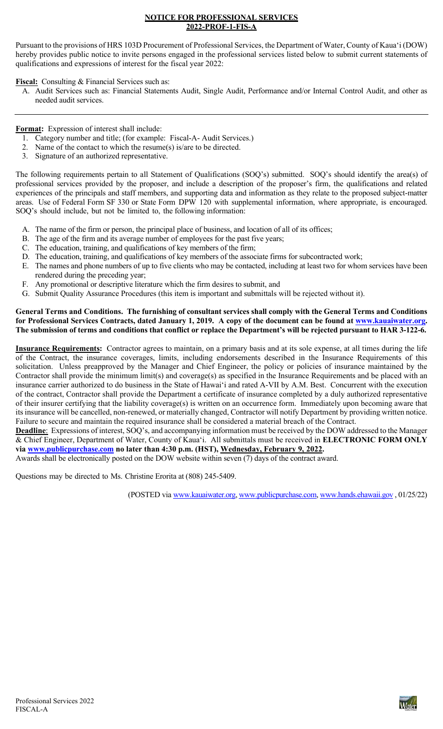#### **NOTICE FOR PROFESSIONAL SERVICES 2022-PROF-1-FIS-A**

Pursuant to the provisions of HRS 103D Procurement of Professional Services, the Department of Water, County of Kaua'i (DOW) hereby provides public notice to invite persons engaged in the professional services listed below to submit current statements of qualifications and expressions of interest for the fiscal year 2022:

**Fiscal:** Consulting & Financial Services such as:

A. Audit Services such as: Financial Statements Audit, Single Audit, Performance and/or Internal Control Audit, and other as needed audit services.

**Format:** Expression of interest shall include:

- 1. Category number and title; (for example: Fiscal-A- Audit Services.)
- 2. Name of the contact to which the resume(s) is/are to be directed.
- 3. Signature of an authorized representative.

The following requirements pertain to all Statement of Qualifications (SOQ's) submitted. SOQ's should identify the area(s) of professional services provided by the proposer, and include a description of the proposer's firm, the qualifications and related experiences of the principals and staff members, and supporting data and information as they relate to the proposed subject-matter areas. Use of Federal Form SF 330 or State Form DPW 120 with supplemental information, where appropriate, is encouraged. SOQ's should include, but not be limited to, the following information:

- A. The name of the firm or person, the principal place of business, and location of all of its offices;
- B. The age of the firm and its average number of employees for the past five years;
- C. The education, training, and qualifications of key members of the firm;
- D. The education, training, and qualifications of key members of the associate firms for subcontracted work;
- E. The names and phone numbers of up to five clients who may be contacted, including at least two for whom services have been rendered during the preceding year;
- F. Any promotional or descriptive literature which the firm desires to submit, and
- G. Submit Quality Assurance Procedures (this item is important and submittals will be rejected without it).

#### **General Terms and Conditions. The furnishing of consultant services shall comply with the General Terms and Conditions for Professional Services Contracts, dated January 1, 2019. A copy of the document can be found at [www.kauaiwater.org.](http://www.kauaiwater.org/) The submission of terms and conditions that conflict or replace the Department's will be rejected pursuant to HAR 3-122-6.**

**Insurance Requirements:** Contractor agrees to maintain, on a primary basis and at its sole expense, at all times during the life of the Contract, the insurance coverages, limits, including endorsements described in the Insurance Requirements of this solicitation. Unless preapproved by the Manager and Chief Engineer, the policy or policies of insurance maintained by the Contractor shall provide the minimum limit(s) and coverage(s) as specified in the Insurance Requirements and be placed with an insurance carrier authorized to do business in the State of Hawaiʻi and rated A-VII by A.M. Best. Concurrent with the execution of the contract, Contractor shall provide the Department a certificate of insurance completed by a duly authorized representative of their insurer certifying that the liability coverage(s) is written on an occurrence form. Immediately upon becoming aware that its insurance will be cancelled, non-renewed, or materially changed, Contractor will notify Department by providing written notice. Failure to secure and maintain the required insurance shall be considered a material breach of the Contract.

**Deadline**: Expressions of interest, SOQ's, and accompanying information must be received by the DOW addressed to the Manager & Chief Engineer, Department of Water, County of Kauaʻi. All submittals must be received in **ELECTRONIC FORM ONLY via [www.publicpurchase.com](http://www.publicpurchase.com/) no later than 4:30 p.m. (HST), Wednesday, February 9, 2022.**

Awards shall be electronically posted on the DOW website within seven (7) days of the contract award.

Questions may be directed to Ms. Christine Erorita at (808) 245-5409.

(POSTED via [www.kauaiwater.org,](http://www.kauaiwater.org/) [www.publicpurchase.com,](http://www.publicpurchase.com/) [www.hands.ehawaii.gov](http://www.hands.ehawaii.gov/) , 01/25/22)

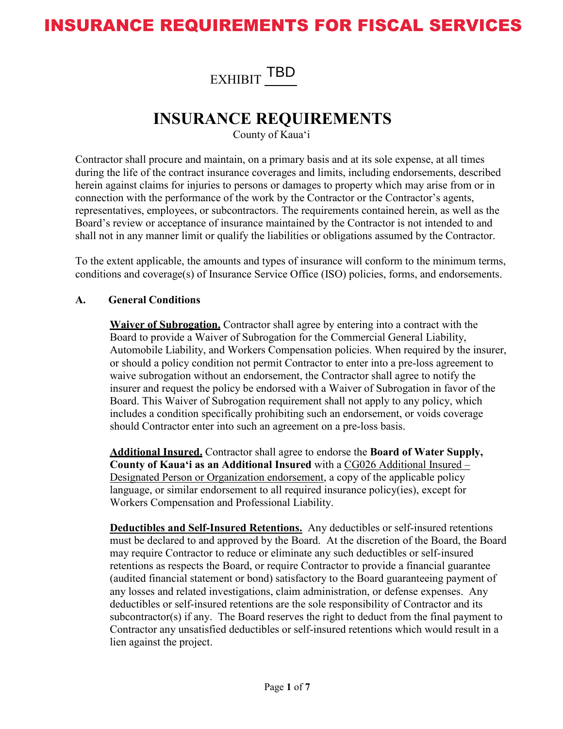# INSURANCE REQUIREMENTS FOR FISCAL SERVICES

EXHIBIT **TBD** 

### **INSURANCE REQUIREMENTS**

County of Kaua'i

Contractor shall procure and maintain, on a primary basis and at its sole expense, at all times during the life of the contract insurance coverages and limits, including endorsements, described herein against claims for injuries to persons or damages to property which may arise from or in connection with the performance of the work by the Contractor or the Contractor's agents, representatives, employees, or subcontractors. The requirements contained herein, as well as the Board's review or acceptance of insurance maintained by the Contractor is not intended to and shall not in any manner limit or qualify the liabilities or obligations assumed by the Contractor.

To the extent applicable, the amounts and types of insurance will conform to the minimum terms, conditions and coverage(s) of Insurance Service Office (ISO) policies, forms, and endorsements.

#### **A. General Conditions**

**Waiver of Subrogation.** Contractor shall agree by entering into a contract with the Board to provide a Waiver of Subrogation for the Commercial General Liability, Automobile Liability, and Workers Compensation policies. When required by the insurer, or should a policy condition not permit Contractor to enter into a pre-loss agreement to waive subrogation without an endorsement, the Contractor shall agree to notify the insurer and request the policy be endorsed with a Waiver of Subrogation in favor of the Board. This Waiver of Subrogation requirement shall not apply to any policy, which includes a condition specifically prohibiting such an endorsement, or voids coverage should Contractor enter into such an agreement on a pre-loss basis.

**Additional Insured.** Contractor shall agree to endorse the **Board of Water Supply, County of Kaua'i as an Additional Insured** with a CG026 Additional Insured – Designated Person or Organization endorsement, a copy of the applicable policy language, or similar endorsement to all required insurance policy(ies), except for Workers Compensation and Professional Liability.

**Deductibles and Self-Insured Retentions.** Any deductibles or self-insured retentions must be declared to and approved by the Board. At the discretion of the Board, the Board may require Contractor to reduce or eliminate any such deductibles or self-insured retentions as respects the Board, or require Contractor to provide a financial guarantee (audited financial statement or bond) satisfactory to the Board guaranteeing payment of any losses and related investigations, claim administration, or defense expenses. Any deductibles or self-insured retentions are the sole responsibility of Contractor and its subcontractor(s) if any. The Board reserves the right to deduct from the final payment to Contractor any unsatisfied deductibles or self-insured retentions which would result in a lien against the project.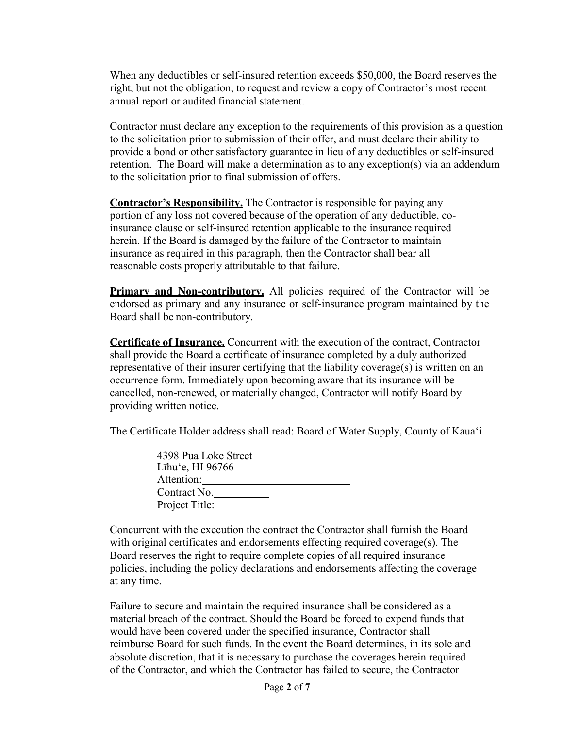When any deductibles or self-insured retention exceeds \$50,000, the Board reserves the right, but not the obligation, to request and review a copy of Contractor's most recent annual report or audited financial statement.

Contractor must declare any exception to the requirements of this provision as a question to the solicitation prior to submission of their offer, and must declare their ability to provide a bond or other satisfactory guarantee in lieu of any deductibles or self-insured retention. The Board will make a determination as to any exception(s) via an addendum to the solicitation prior to final submission of offers.

**Contractor's Responsibility.** The Contractor is responsible for paying any portion of any loss not covered because of the operation of any deductible, coinsurance clause or self-insured retention applicable to the insurance required herein. If the Board is damaged by the failure of the Contractor to maintain insurance as required in this paragraph, then the Contractor shall bear all reasonable costs properly attributable to that failure.

**Primary and Non-contributory.** All policies required of the Contractor will be endorsed as primary and any insurance or self-insurance program maintained by the Board shall be non-contributory.

**Certificate of Insurance.** Concurrent with the execution of the contract, Contractor shall provide the Board a certificate of insurance completed by a duly authorized representative of their insurer certifying that the liability coverage(s) is written on an occurrence form. Immediately upon becoming aware that its insurance will be cancelled, non-renewed, or materially changed, Contractor will notify Board by providing written notice.

The Certificate Holder address shall read: Board of Water Supply, County of Kaua'i

| 4398 Pua Loke Street |  |
|----------------------|--|
| Līhu'e, HI 96766     |  |
| Attention:           |  |
| Contract No.         |  |
| Project Title:       |  |

Concurrent with the execution the contract the Contractor shall furnish the Board with original certificates and endorsements effecting required coverage(s). The Board reserves the right to require complete copies of all required insurance policies, including the policy declarations and endorsements affecting the coverage at any time.

Failure to secure and maintain the required insurance shall be considered as a material breach of the contract. Should the Board be forced to expend funds that would have been covered under the specified insurance, Contractor shall reimburse Board for such funds. In the event the Board determines, in its sole and absolute discretion, that it is necessary to purchase the coverages herein required of the Contractor, and which the Contractor has failed to secure, the Contractor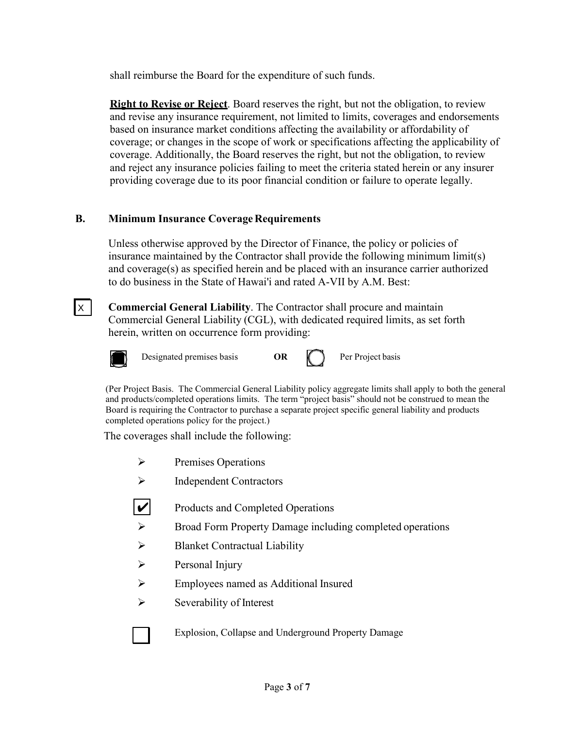shall reimburse the Board for the expenditure of such funds.

**Right to Revise or Reject**. Board reserves the right, but not the obligation, to review and revise any insurance requirement, not limited to limits, coverages and endorsements based on insurance market conditions affecting the availability or affordability of coverage; or changes in the scope of work or specifications affecting the applicability of coverage. Additionally, the Board reserves the right, but not the obligation, to review and reject any insurance policies failing to meet the criteria stated herein or any insurer providing coverage due to its poor financial condition or failure to operate legally.

#### **B. Minimum Insurance Coverage Requirements**

Unless otherwise approved by the Director of Finance, the policy or policies of insurance maintained by the Contractor shall provide the following minimum limit(s) and coverage(s) as specified herein and be placed with an insurance carrier authorized to do business in the State of Hawai'i and rated A-VII by A.M. Best:

**Commercial General Liability**. The Contractor shall procure and maintain Commercial General Liability (CGL), with dedicated required limits, as set forth herein, written on occurrence form providing:



 $\mathsf{I} \times \mathsf{I}$ 

Designated premises basis **OR (except)** Per Project basis

(Per Project Basis. The Commercial General Liability policy aggregate limits shall apply to both the general and products/completed operations limits. The term "project basis" should not be construed to mean the Board is requiring the Contractor to purchase a separate project specific general liability and products completed operations policy for the project.)

The coverages shall include the following:

- $\triangleright$  Premises Operations
- $\triangleright$  Independent Contractors
- Products and Completed Operations ✔
- Broad Form Property Damage including completed operations
- $\triangleright$  Blanket Contractual Liability
- $\triangleright$  Personal Injury
- Employees named as Additional Insured
- $\triangleright$  Severability of Interest



Explosion, Collapse and Underground Property Damage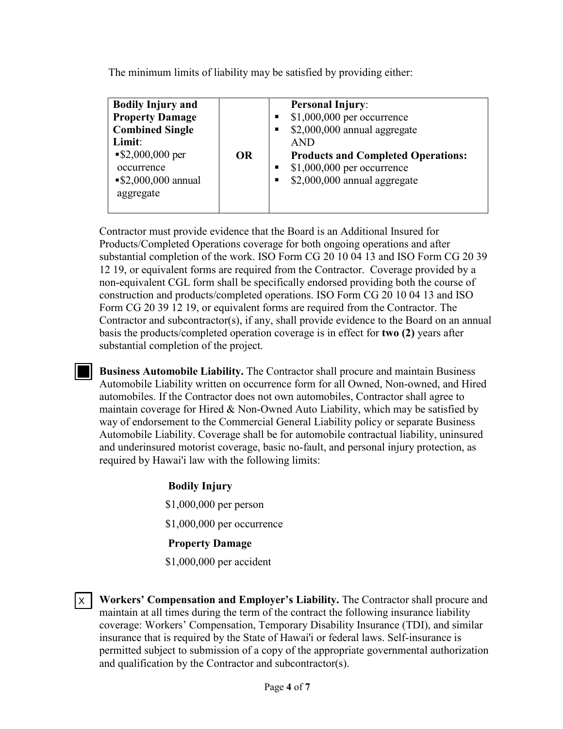The minimum limits of liability may be satisfied by providing either:

| <b>Bodily Injury and</b><br><b>Property Damage</b><br><b>Combined Single</b><br>Limit:<br>$\$2,000,000$ per<br><b>OR</b><br>occurrence<br>$\$2,000,000$ annual<br>aggregate | <b>Personal Injury:</b><br>$$1,000,000$ per occurrence<br>\$2,000,000 annual aggregate<br><b>AND</b><br><b>Products and Completed Operations:</b><br>$$1,000,000$ per occurrence<br>$$2,000,000$ annual aggregate |
|-----------------------------------------------------------------------------------------------------------------------------------------------------------------------------|-------------------------------------------------------------------------------------------------------------------------------------------------------------------------------------------------------------------|
|-----------------------------------------------------------------------------------------------------------------------------------------------------------------------------|-------------------------------------------------------------------------------------------------------------------------------------------------------------------------------------------------------------------|

Contractor must provide evidence that the Board is an Additional Insured for Products/Completed Operations coverage for both ongoing operations and after substantial completion of the work. ISO Form CG 20 10 04 13 and ISO Form CG 20 39 12 19, or equivalent forms are required from the Contractor. Coverage provided by a non-equivalent CGL form shall be specifically endorsed providing both the course of construction and products/completed operations. ISO Form CG 20 10 04 13 and ISO Form CG 20 39 12 19, or equivalent forms are required from the Contractor. The Contractor and subcontractor(s), if any, shall provide evidence to the Board on an annual basis the products/completed operation coverage is in effect for **two (2)** years after substantial completion of the project.

**Business Automobile Liability.** The Contractor shall procure and maintain Business Automobile Liability written on occurrence form for all Owned, Non-owned, and Hired automobiles. If the Contractor does not own automobiles, Contractor shall agree to maintain coverage for Hired & Non-Owned Auto Liability, which may be satisfied by way of endorsement to the Commercial General Liability policy or separate Business Automobile Liability. Coverage shall be for automobile contractual liability, uninsured and underinsured motorist coverage, basic no-fault, and personal injury protection, as required by Hawai'i law with the following limits:

# **Bodily Injury** \$1,000,000 per person \$1,000,000 per occurrence

### **Property Damage**

\$1,000,000 per accident

**Workers' Compensation and Employer's Liability.** The Contractor shall procure and Xmaintain at all times during the term of the contract the following insurance liability coverage: Workers' Compensation, Temporary Disability Insurance (TDI), and similar insurance that is required by the State of Hawai'i or federal laws. Self-insurance is permitted subject to submission of a copy of the appropriate governmental authorization and qualification by the Contractor and subcontractor(s).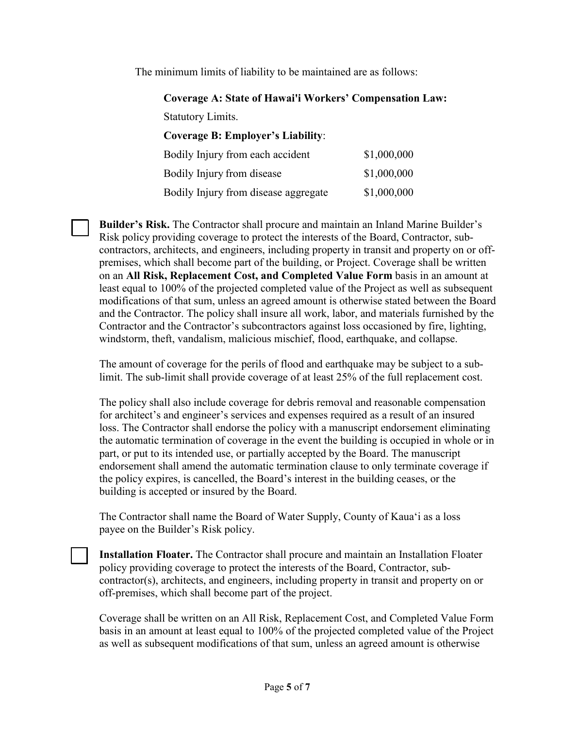The minimum limits of liability to be maintained are as follows:

**Coverage A: State of Hawai'i Workers' Compensation Law:**

Statutory Limits.

**Coverage B: Employer's Liability**:

| Bodily Injury from each accident     | \$1,000,000 |
|--------------------------------------|-------------|
| Bodily Injury from disease           | \$1,000,000 |
| Bodily Injury from disease aggregate | \$1,000,000 |

**Builder's Risk.** The Contractor shall procure and maintain an Inland Marine Builder's Risk policy providing coverage to protect the interests of the Board, Contractor, subcontractors, architects, and engineers, including property in transit and property on or offpremises, which shall become part of the building, or Project. Coverage shall be written on an **All Risk, Replacement Cost, and Completed Value Form** basis in an amount at least equal to 100% of the projected completed value of the Project as well as subsequent modifications of that sum, unless an agreed amount is otherwise stated between the Board and the Contractor. The policy shall insure all work, labor, and materials furnished by the Contractor and the Contractor's subcontractors against loss occasioned by fire, lighting, windstorm, theft, vandalism, malicious mischief, flood, earthquake, and collapse.

The amount of coverage for the perils of flood and earthquake may be subject to a sublimit. The sub-limit shall provide coverage of at least 25% of the full replacement cost.

The policy shall also include coverage for debris removal and reasonable compensation for architect's and engineer's services and expenses required as a result of an insured loss. The Contractor shall endorse the policy with a manuscript endorsement eliminating the automatic termination of coverage in the event the building is occupied in whole or in part, or put to its intended use, or partially accepted by the Board. The manuscript endorsement shall amend the automatic termination clause to only terminate coverage if the policy expires, is cancelled, the Board's interest in the building ceases, or the building is accepted or insured by the Board.

The Contractor shall name the Board of Water Supply, County of Kaua'i as a loss payee on the Builder's Risk policy.

**Installation Floater.** The Contractor shall procure and maintain an Installation Floater policy providing coverage to protect the interests of the Board, Contractor, subcontractor(s), architects, and engineers, including property in transit and property on or off-premises, which shall become part of the project.

Coverage shall be written on an All Risk, Replacement Cost, and Completed Value Form basis in an amount at least equal to 100% of the projected completed value of the Project as well as subsequent modifications of that sum, unless an agreed amount is otherwise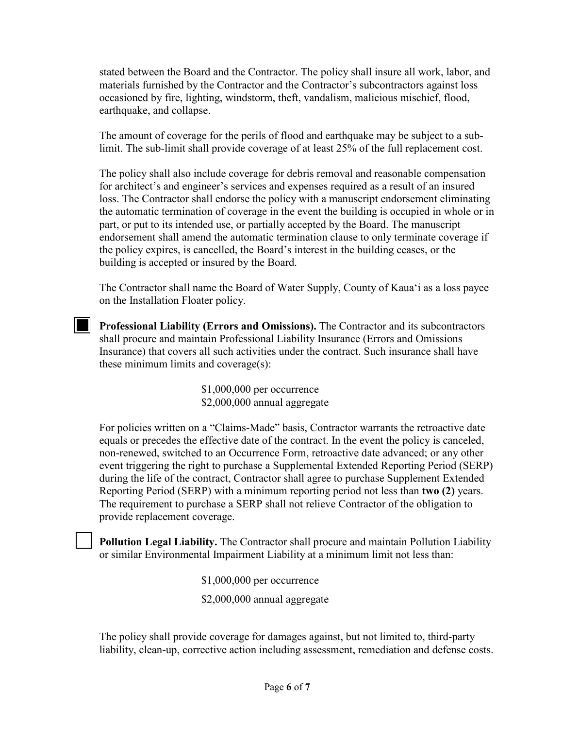stated between the Board and the Contractor. The policy shall insure all work, labor, and materials furnished by the Contractor and the Contractor's subcontractors against loss occasioned by fire, lighting, windstorm, theft, vandalism, malicious mischief, flood, earthquake, and collapse.

The amount of coverage for the perils of flood and earthquake may be subject to a sublimit. The sub-limit shall provide coverage of at least 25% of the full replacement cost.

The policy shall also include coverage for debris removal and reasonable compensation for architect's and engineer's services and expenses required as a result of an insured loss. The Contractor shall endorse the policy with a manuscript endorsement eliminating the automatic termination of coverage in the event the building is occupied in whole or in part, or put to its intended use, or partially accepted by the Board. The manuscript endorsement shall amend the automatic termination clause to only terminate coverage if the policy expires, is cancelled, the Board's interest in the building ceases, or the building is accepted or insured by the Board.

The Contractor shall name the Board of Water Supply, County of Kaua'i as a loss payee on the Installation Floater policy.

**Professional Liability (Errors and Omissions).** The Contractor and its subcontractors shall procure and maintain Professional Liability Insurance (Errors and Omissions Insurance) that covers all such activities under the contract. Such insurance shall have these minimum limits and coverage(s):

> \$1,000,000 per occurrence \$2,000,000 annual aggregate

For policies written on a "Claims-Made" basis, Contractor warrants the retroactive date equals or precedes the effective date of the contract. In the event the policy is canceled, non-renewed, switched to an Occurrence Form, retroactive date advanced; or any other event triggering the right to purchase a Supplemental Extended Reporting Period (SERP) during the life of the contract, Contractor shall agree to purchase Supplement Extended Reporting Period (SERP) with a minimum reporting period not less than **two (2)** years. The requirement to purchase a SERP shall not relieve Contractor of the obligation to provide replacement coverage.

**Pollution Legal Liability.** The Contractor shall procure and maintain Pollution Liability or similar Environmental Impairment Liability at a minimum limit not less than:

> \$1,000,000 per occurrence \$2,000,000 annual aggregate

The policy shall provide coverage for damages against, but not limited to, third-party liability, clean-up, corrective action including assessment, remediation and defense costs.